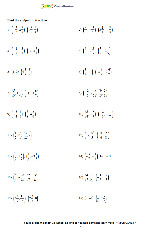

Find the midpoint - fractions:

1) 
$$
\left(-\frac{4}{3}, 2\frac{7}{8}\right), \left(1\frac{7}{8}, \frac{3}{4}\right)
$$
  
\n2)  $\left(\frac{7}{5}, -\frac{11}{6}\right), \left(3\frac{1}{4}, -1\frac{7}{8}\right)$   
\n3)  $\left(-\frac{1}{2}, 1\frac{5}{7}\right), \left(-3, 3\frac{3}{4}\right)$   
\n4)  $\left(\frac{4}{5}, -3\frac{3}{5}\right), \left(\frac{3}{5}, -2\frac{1}{5}\right)$   
\n5)  $(1, 2), \left(4\frac{5}{7}, \frac{8}{5}\right)$   
\n6)  $\left(\frac{3}{2}, -1\right), \left(-3\frac{4}{7}, -3\frac{6}{7}\right)$   
\n7)  $\left(\frac{5}{3}, 1\frac{1}{4}\right), \left(-1, -1\frac{6}{7}\right)$   
\n8)  $\left(-\frac{2}{3}, 4\frac{1}{2}\right), \left(\frac{9}{5}, \frac{2}{3}\right)$   
\n9)  $\left(-\frac{3}{2}, \frac{1}{6}\right), \left(\frac{7}{8}, 4\frac{5}{6}\right)$   
\n10)  $\left(\frac{5}{4}, -\frac{6}{7}\right), \left(-\frac{2}{3}, -\frac{11}{7}\right)$   
\n11)  $\left(\frac{1}{2}, 8\right), \left(\frac{3}{2}, 2\right)$   
\n12)  $\left(-2, \frac{6}{5}\right), \left(1\frac{5}{6}, \frac{15}{8}\right)$   
\n13)  $\left(\frac{3}{2}, 1\frac{4}{7}\right), \left(\frac{1}{6}, -3\frac{1}{8}\right)$   
\n14)  $\left(4\frac{3}{7}, -\frac{1}{4}\right), \left(-1, -2\right)$   
\n15)  $\left(\frac{5}{4}, -\frac{3}{2}\right), \left(\frac{2}{7}, 3\frac{3}{8}\right)$   
\n16)  $\left(\frac{4}{7}, \frac{1}{2}\right), \left(-\frac{1}{3}, 1\frac{2}{5}\right)$   
\n17)  $\left(3\frac{4}{7}, \frac{11}{8}\right),$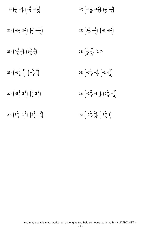19) 
$$
\left(\frac{1}{6}, -2\right), \left(-\frac{4}{7}, -1\frac{1}{2}\right)
$$
  
\n20)  $\left(-1\frac{1}{6}, -1\frac{2}{3}\right), \left(\frac{1}{2}, 2\frac{3}{4}\right)$   
\n21)  $\left(-3\frac{3}{5}, 3\frac{7}{8}\right), \left(\frac{6}{7}, -\frac{13}{8}\right)$   
\n22)  $\left(3\frac{2}{5}, -\frac{1}{4}\right), \left(-2, -3\frac{2}{3}\right)$   
\n23)  $\left(4\frac{3}{4}, \frac{3}{2}\right), \left(3\frac{5}{6}, \frac{4}{5}\right)$   
\n24)  $\left(\frac{3}{4}, \frac{2}{7}\right), (1, 7)$   
\n25)  $\left(-1\frac{3}{4}, \frac{1}{3}\right), \left(-\frac{5}{3}, \frac{4}{7}\right)$   
\n26)  $\left(-7\frac{1}{3}, -6\right), \left(-1, 4\frac{1}{4}\right)$   
\n27)  $\left(-2\frac{1}{3}, 3\frac{2}{3}\right), \left(\frac{3}{2}, 2\frac{3}{8}\right)$   
\n28)  $\left(-1\frac{2}{3}, -1\frac{4}{5}\right), \left(2\frac{1}{8}, -\frac{3}{4}\right)$   
\n29)  $\left(3\frac{2}{3}, -1\frac{5}{6}\right), \left(2\frac{1}{2}, -\frac{3}{7}\right)$   
\n30)  $\left(-2\frac{1}{2}, \frac{1}{2}\right), \left(-3\frac{1}{5}, 1\right)$ 

You may use this math worksheet as long as you help someone learn math. -> MATHX.NET <-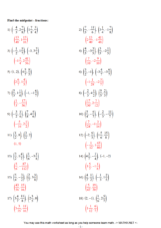## Find the midpoint - fractions:

1) 
$$
\left(-\frac{4}{3}, 2\frac{7}{8}\right), \left(1\frac{7}{8}, \frac{3}{4}\right)
$$
  
\n2)  $\left(\frac{7}{5}, -\frac{11}{6}\right), \left(3\frac{1}{4}, -1\frac{7}{8}\right)$   
\n3)  $\left(-\frac{1}{2}, 1\frac{5}{7}\right), \left(-3, 3\frac{3}{4}\right)$   
\n4)  $\left(\frac{4}{5}, -3\frac{3}{5}\right), \left(\frac{3}{5}, -2\frac{1}{5}\right)$   
\n5) (1, 2),  $\left(4\frac{5}{7}, \frac{8}{5}\right)$   
\n6)  $\left(\frac{3}{2}, -1\right), \left(-3\frac{4}{7}, -3\frac{6}{7}\right)$   
\n7)  $\left(\frac{5}{3}, 1\frac{1}{4}\right), \left(-1, -1\frac{6}{7}\right)$   
\n9)  $\left(-\frac{3}{2}, \frac{1}{6}\right), \left(\frac{7}{8}, 4\frac{5}{6}\right)$   
\n10)  $\left(\frac{5}{4}, -\frac{7}{7}\right), \left(-\frac{3}{4}, -3\frac{3}{7}\right)$   
\n11)  $\left(\frac{1}{2}, 8\right), \left(\frac{3}{2}, 2\right)$   
\n12)  $\left(-2, \frac{6}{5}\right), \left(1\frac{7}{6}, -\frac{3}{14}\right)$   
\n13)  $\left(\frac{3}{2}, 1\frac{4}{7}\right), \left(\frac{1}{6}, -3\frac{1}{8}\right)$   
\n14)  $\left(4\frac{3}{7}, -\frac{1}{4}\right), \left(-1, -2\right)$   
\n15)  $\left(\frac{5}{2}, -\frac{87}{112}\right)$   
\n16)  $\left(\frac{5}{7}, -\frac{1}{4}\right), \left(-1, -2\right)$   
\n17)  $\left(3\frac{4}{7}, \frac{11}{8}\right), \left(2\frac{3}{5}, 3\right)$   
\n18)  $\left(2, -1\right), \left(-\frac{1}{3}, 1\frac{2}{5}\right)$   
\n19)  $\left(3\frac{$